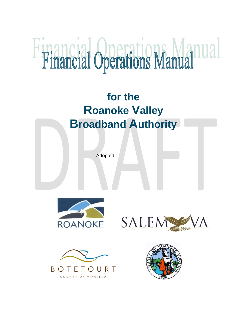# Financial Operations Manual

# **for the Roanoke Valley Broadband Authority**

Adopted \_\_\_\_\_\_\_\_\_\_\_\_\_







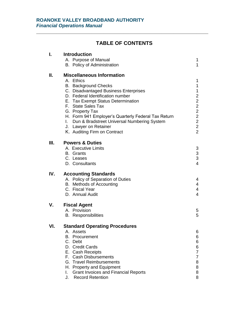### **TABLE OF CONTENTS**

**\_\_\_\_\_\_\_\_\_\_\_\_\_\_\_\_\_\_\_\_\_\_\_\_\_\_\_\_\_\_\_\_\_\_\_\_\_\_\_\_\_\_\_\_\_\_\_\_\_\_\_\_\_\_\_\_\_\_\_**

| I.  | <b>Introduction</b><br>A. Purpose of Manual<br>B. Policy of Administration | 1<br>1                                       |
|-----|----------------------------------------------------------------------------|----------------------------------------------|
|     |                                                                            |                                              |
| П.  | <b>Miscellaneous Information</b><br>A. Ethics                              | 1                                            |
|     | <b>B.</b> Background Checks                                                | 1                                            |
|     | C. Disadvantaged Business Enterprises                                      | 1                                            |
|     | D. Federal Identification number                                           | $\overline{a}$                               |
|     | E. Tax Exempt Status Determination                                         |                                              |
|     | F. State Sales Tax                                                         | $\begin{array}{c}\n2 \\ 2 \\ 2\n\end{array}$ |
|     | G. Property Tax                                                            |                                              |
|     | H. Form 941 Employer's Quarterly Federal Tax Return                        |                                              |
|     | I. Dun & Bradstreet Universal Numbering System                             | $\overline{c}$                               |
|     | J. Lawyer on Retainer                                                      | $\overline{2}$<br>$\overline{2}$             |
|     | K. Auditing Firm on Contract                                               |                                              |
| Ш.  | <b>Powers &amp; Duties</b>                                                 |                                              |
|     | A. Executive Limits                                                        | 3                                            |
|     | <b>B.</b> Grants                                                           | $\frac{3}{3}$                                |
|     | C. Leases                                                                  | $\overline{4}$                               |
|     | D. Consultants                                                             |                                              |
| IV. | <b>Accounting Standards</b>                                                |                                              |
|     | A. Policy of Separation of Duties                                          | 4                                            |
|     | <b>B.</b> Methods of Accounting                                            | 4                                            |
|     | C. Fiscal Year                                                             | 4<br>$\overline{4}$                          |
|     | D. Annual Audit                                                            |                                              |
| V.  | <b>Fiscal Agent</b>                                                        |                                              |
|     | A. Provision                                                               | 5                                            |
|     | <b>B.</b> Responsibilities                                                 | 5                                            |
| VI. | <b>Standard Operating Procedures</b>                                       |                                              |
|     | A. Assets                                                                  | 6                                            |
|     | Procurement<br>В.                                                          | 6                                            |
|     | C. Debt                                                                    | 6                                            |
|     | D. Credit Cards<br>E. Cash Receipts                                        | 6<br>7                                       |
|     | F. Cash Disbursements                                                      | 7                                            |
|     | G. Travel Reimbursements                                                   | 8                                            |
|     | H. Property and Equipment                                                  | 8                                            |
|     | <b>Grant Invoices and Financial Reports</b><br>I.                          | 8                                            |
|     | <b>Record Retention</b><br>J.                                              | 8                                            |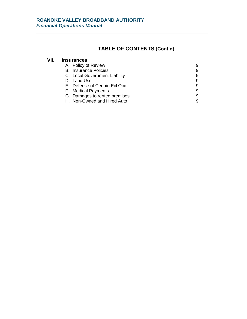## **TABLE OF CONTENTS (Cont'd)**

| VII. | <b>Insurances</b>             |   |
|------|-------------------------------|---|
|      | A. Policy of Review           | 9 |
|      | <b>B.</b> Insurance Policies  | 9 |
|      | C. Local Government Liability | 9 |
|      | D. Land Use                   | 9 |
|      | E. Defense of Certain Ecl Occ | 9 |
|      | F. Medical Payments           | 9 |
|      | G. Damages to rented premises | 9 |
|      | H. Non-Owned and Hired Auto   | 9 |

**\_\_\_\_\_\_\_\_\_\_\_\_\_\_\_\_\_\_\_\_\_\_\_\_\_\_\_\_\_\_\_\_\_\_\_\_\_\_\_\_\_\_\_\_\_\_\_\_\_\_\_\_\_\_\_\_\_\_\_**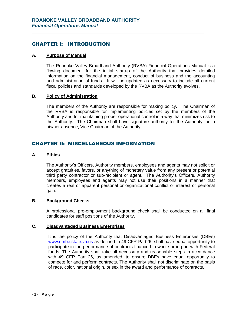#### CHAPTER I: INTRODUCTION

#### **A. Purpose of Manual**

The Roanoke Valley Broadband Authority (RVBA) Financial Operations Manual is a flowing document for the initial startup of the Authority that provides detailed information on the financial management, conduct of business and the accounting and administration of funds. It will be updated as necessary to include all current fiscal policies and standards developed by the RVBA as the Authority evolves.

**\_\_\_\_\_\_\_\_\_\_\_\_\_\_\_\_\_\_\_\_\_\_\_\_\_\_\_\_\_\_\_\_\_\_\_\_\_\_\_\_\_\_\_\_\_\_\_\_\_\_\_\_\_\_\_\_\_\_\_**

#### **B. Policy of Administration**

The members of the Authority are responsible for making policy. The Chairman of the RVBA is responsible for implementing policies set by the members of the Authority and for maintaining proper operational control in a way that minimizes risk to the Authority. The Chairman shall have signature authority for the Authority, or in his/her absence, Vice Chairman of the Authority.

#### CHAPTER II: MISCELLANEOUS INFORMATION

#### **A. Ethics**

The Authority's Officers, Authority members, employees and agents may not solicit or accept gratuities, favors, or anything of monetary value from any present or potential third party contractor or sub-recipient or agent. The Authority's Officers, Authority members, employees and agents may not use their positions in a manner that creates a real or apparent personal or organizational conflict or interest or personal gain.

#### **B. Background Checks**

A professional pre-employment background check shall be conducted on all final candidates for staff positions of the Authority.

#### **C. Disadvantaged Business Enterprises**

It is the policy of the Authority that Disadvantaged Business Enterprises (DBEs) [www.dmbe.state.va.us](http://www.dmbe.state.va.us/) as defined in 49 CFR Part26, shall have equal opportunity to participate in the performance of contracts financed in whole or in part with Federal funds. The Authority shall take all necessary and reasonable steps in accordance with 49 CFR Part 26, as amended, to ensure DBEs have equal opportunity to compete for and perform contracts. The Authority shall not discriminate on the basis of race, color, national origin, or sex in the award and performance of contracts.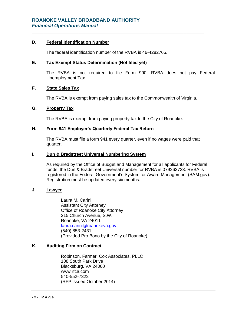#### **D. Federal Identification Number**

The federal identification number of the RVBA is 46-4282765.

**\_\_\_\_\_\_\_\_\_\_\_\_\_\_\_\_\_\_\_\_\_\_\_\_\_\_\_\_\_\_\_\_\_\_\_\_\_\_\_\_\_\_\_\_\_\_\_\_\_\_\_\_\_\_\_\_\_\_\_**

#### **E. Tax Exempt Status Determination (Not filed yet)**

The RVBA is not required to file Form 990. RVBA does not pay Federal Unemployment Tax.

#### **F. State Sales Tax**

The RVBA is exempt from paying sales tax to the Commonwealth of Virginia**.** 

#### **G. Property Tax**

The RVBA is exempt from paying property tax to the City of Roanoke.

#### **H. Form 941 Employer's Quarterly Federal Tax Return**

The RVBA must file a form 941 every quarter, even if no wages were paid that quarter.

#### **I. Dun & Bradstreet Universal Numbering System**

As required by the Office of Budget and Management for all applicants for Federal funds, the Dun & Bradstreet Universal number for RVBA is 079263723. RVBA is registered in the Federal Government's System for Award Management (SAM.gov). Registration must be updated every six months.

#### **J. Lawyer**

Laura M. Carini Assistant City Attorney Office of Roanoke City Attorney 215 Church Avenue, S.W. Roanoke, VA 24011 [laura.carini@roanokeva.gov](mailto:laura.carini@roanokeva.gov) (540) 853-2431 (Provided Pro Bono by the City of Roanoke)

#### **K. Auditing Firm on Contract**

Robinson, Farmer, Cox Associates, PLLC 108 South Park Drive Blacksburg, VA 24060 www.rfca.com 540-552-7322 (RFP issued October 2014)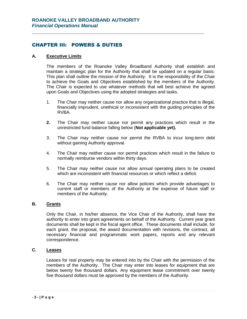#### CHAPTER III: POWERS & DUTIES

#### **A. Executive Limits**

The members of the Roanoke Valley Broadband Authority shall establish and maintain a strategic plan for the Authority that shall be updated on a regular basis. This plan shall outline the mission of the Authority. It is the responsibility of the Chair to achieve the Goals and Objectives established by the members of the Authority. The Chair is expected to use whatever methods that will best achieve the agreed upon Goals and Objectives using the adopted strategies and tasks.

**\_\_\_\_\_\_\_\_\_\_\_\_\_\_\_\_\_\_\_\_\_\_\_\_\_\_\_\_\_\_\_\_\_\_\_\_\_\_\_\_\_\_\_\_\_\_\_\_\_\_\_\_\_\_\_\_\_\_\_**

- 1. The Chair may neither cause nor allow any organizational practice that is illegal, financially imprudent, unethical or inconsistent with the guiding principles of the RVBA.
- **2.** The Chair may neither cause nor permit any practices which result in the unrestricted fund balance falling below (**Not applicable yet).**
- 3. The Chair may neither cause nor permit the RVBA to incur long-term debt without gaining Authority approval.
- 4. The Chair may neither cause nor permit practices which result in the failure to normally reimburse vendors within thirty days.
- 5. The Chair may neither cause nor allow annual operating plans to be created which are inconsistent with financial resources or which reflect a deficit.
- 6. The Chair may neither cause nor allow policies which provide advantages to current staff or members of the Authority at the expense of future staff or members of the Authority.

#### **B. Grants**

Only the Chair, in his/her absence, the Vice Chair of the Authority, shall have the authority to enter into grant agreements on behalf of the Authority. Current year grant documents shall be kept in the fiscal agent office. These documents shall include, for each grant, the proposal, the award documentation with revisions, the contract, all necessary financial and programmatic work papers, reports and any relevant correspondence.

#### **C. Leases**

Leases for real property may be entered into by the Chair with the permission of the members of the Authority. The Chair may enter into leases for equipment that are below twenty five thousand dollars. Any equipment lease commitment over twenty five thousand dollars must be approved by the members of the Authority.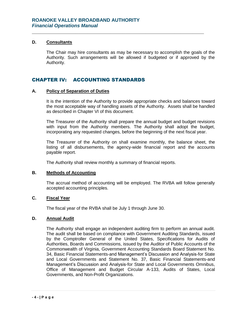#### **D. Consultants**

The Chair may hire consultants as may be necessary to accomplish the goals of the Authority. Such arrangements will be allowed if budgeted or if approved by the Authority.

**\_\_\_\_\_\_\_\_\_\_\_\_\_\_\_\_\_\_\_\_\_\_\_\_\_\_\_\_\_\_\_\_\_\_\_\_\_\_\_\_\_\_\_\_\_\_\_\_\_\_\_\_\_\_\_\_\_\_\_**

#### CHAPTER IV: ACCOUNTING STANDARDS

#### **A. Policy of Separation of Duties**

It is the intention of the Authority to provide appropriate checks and balances toward the most acceptable way of handling assets of the Authority. Assets shall be handled as described in Chapter VI of this document.

The Treasurer of the Authority shall prepare the annual budget and budget revisions with input from the Authority members. The Authority shall adopt the budget, incorporating any requested changes, before the beginning of the next fiscal year.

The Treasurer of the Authority on shall examine monthly, the balance sheet, the listing of all disbursements, the agency-wide financial report and the accounts payable report.

The Authority shall review monthly a summary of financial reports.

#### **B. Methods of Accounting**

The accrual method of accounting will be employed. The RVBA will follow generally accepted accounting principles.

#### **C. Fiscal Year**

The fiscal year of the RVBA shall be July 1 through June 30.

#### **D. Annual Audit**

The Authority shall engage an independent auditing firm to perform an annual audit. The audit shall be based on compliance with Government Auditing Standards, issued by the Comptroller General of the United States, Specifications for Audits of Authorities, Boards and Commissions, issued by the Auditor of Public Accounts of the Commonwealth of Virginia, Government Accounting Standards Board Statement No. 34, Basic Financial Statements-and Management's Discussion and Analysis-for State and Local Governments and Statement No. 37, Basic Financial Statements-and Management's Discussion and Analysis-for State and Local Governments Omnibus, Office of Management and Budget Circular A-133, Audits of States, Local Governments, and Non-Profit Organizations.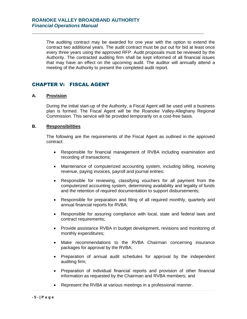The auditing contract may be awarded for one year with the option to extend the contract two additional years. The audit contract must be put out for bid at least once every three years using the approved RFP. Audit proposals must be reviewed by the Authority. The contracted auditing firm shall be kept informed of all financial issues that may have an effect on the upcoming audit. The auditor will annually attend a meeting of the Authority to present the completed audit report.

**\_\_\_\_\_\_\_\_\_\_\_\_\_\_\_\_\_\_\_\_\_\_\_\_\_\_\_\_\_\_\_\_\_\_\_\_\_\_\_\_\_\_\_\_\_\_\_\_\_\_\_\_\_\_\_\_\_\_\_**

#### CHAPTER V: FISCAL AGENT

#### **A. Provision**

During the initial start-up of the Authority, a Fiscal Agent will be used until a business plan is formed. The Fiscal Agent will be the Roanoke Valley-Alleghany Regional Commission. This service will be provided temporarily on a cost-free basis.

#### **B. Responsibilities**

The following are the requirements of the Fiscal Agent as outlined in the approved contract:

- Responsible for financial management of RVBA including examination and recording of transactions;
- Maintenance of computerized accounting system, including billing, receiving revenue, paying invoices, payroll and journal entries;
- Responsible for reviewing, classifying vouchers for all payment from the computerized accounting system, determining availability and legality of funds and the retention of required documentation to support disbursements;
- Responsible for preparation and filing of all required monthly, quarterly and annual financial reports for RVBA;
- Responsible for assuring compliance with local, state and federal laws and contract requirements;
- Provide assistance RVBA in budget development, revisions and monitoring of monthly expenditures;
- Make recommendations to the RVBA Chairman concerning insurance packages for approval by the RVBA;
- Preparation of annual audit schedules for approval by the independent auditing firm;
- Preparation of individual financial reports and provision of other financial information as requested by the Chairman and RVBA members; and
- Represent the RVBA at various meetings in a professional manner.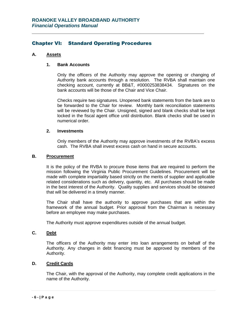#### Chapter VI: Standard Operating Procedures

**\_\_\_\_\_\_\_\_\_\_\_\_\_\_\_\_\_\_\_\_\_\_\_\_\_\_\_\_\_\_\_\_\_\_\_\_\_\_\_\_\_\_\_\_\_\_\_\_\_\_\_\_\_\_\_\_\_\_\_**

#### **A. Assets**

#### **1. Bank Accounts**

Only the officers of the Authority may approve the opening or changing of Authority bank accounts through a resolution. The RVBA shall maintain one checking account, currently at BB&T, #0000253838434. Signatures on the bank accounts will be those of the Chair and Vice Chair.

Checks require two signatures. Unopened bank statements from the bank are to be forwarded to the Chair for review. Monthly bank reconciliation statements will be reviewed by the Chair. Unsigned, signed and blank checks shall be kept locked in the fiscal agent office until distribution. Blank checks shall be used in numerical order.

#### **2. Investments**

Only members of the Authority may approve investments of the RVBA's excess cash. The RVBA shall invest excess cash on hand in secure accounts.

#### **B. Procurement**

It is the policy of the RVBA to procure those items that are required to perform the mission following the Virginia Public Procurement Guidelines. Procurement will be made with complete impartiality based strictly on the merits of supplier and applicable related considerations such as delivery, quantity, etc. All purchases should be made in the best interest of the Authority. Quality supplies and services should be obtained that will be delivered in a timely manner.

The Chair shall have the authority to approve purchases that are within the framework of the annual budget. Prior approval from the Chairman is necessary before an employee may make purchases.

The Authority must approve expenditures outside of the annual budget.

#### **C. Debt**

The officers of the Authority may enter into loan arrangements on behalf of the Authority. Any changes in debt financing must be approved by members of the Authority.

#### **D. Credit Cards**

The Chair, with the approval of the Authority, may complete credit applications in the name of the Authority.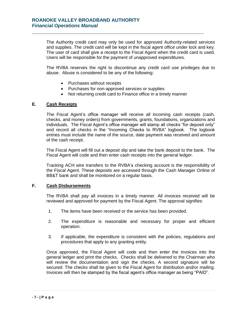The Authority credit card may only be used for approved Authority-related services and supplies. The credit card will be kept in the fiscal agent office under lock and key. The user of card shall give a receipt to the Fiscal Agent when the credit card is used. Users will be responsible for the payment of unapproved expenditures.

The RVBA reserves the right to discontinue any credit card use privileges due to abuse. Abuse is considered to be any of the following:

- Purchases without receipts
- Purchases for non-approved services or supplies

**\_\_\_\_\_\_\_\_\_\_\_\_\_\_\_\_\_\_\_\_\_\_\_\_\_\_\_\_\_\_\_\_\_\_\_\_\_\_\_\_\_\_\_\_\_\_\_\_\_\_\_\_\_\_\_\_\_\_\_**

Not returning credit card to Finance office in a timely manner

#### **E. Cash Receipts**

The Fiscal Agent's office manager will receive all incoming cash receipts (cash, checks, and money orders) from governments, grants, foundations, organizations and individuals. The Fiscal Agent's office manager will stamp all checks "for deposit only" and record all checks in the "Incoming Checks to RVBA" logbook. The logbook entries must include the name of the source, date payment was received and amount of the cash receipt.

The Fiscal Agent will fill out a deposit slip and take the bank deposit to the bank. The Fiscal Agent will code and then enter cash receipts into the general ledger.

Tracking ACH wire transfers to the RVBA's checking account is the responsibility of the Fiscal Agent. These deposits are accessed through the Cash Manager Online of BB&T bank and shall be monitored on a regular basis.

#### **F. Cash Disbursements**

The RVBA shall pay all invoices in a timely manner. All invoices received will be reviewed and approved for payment by the Fiscal Agent. The approval signifies:

- 1. The items have been received or the service has been provided.
- 2. The expenditure is reasonable and necessary for proper and efficient operation.
- 3. If applicable, the expenditure is consistent with the policies, regulations and procedures that apply to any granting entity.

Once approved, the Fiscal Agent will code and then enter the invoices into the general ledger and print the checks. Checks shall be delivered to the Chairman who will review the documentation and sign the checks. A second signature will be secured. The checks shall be given to the Fiscal Agent for distribution and/or mailing. Invoices will then be stamped by the fiscal agent's office manager as being "PAID".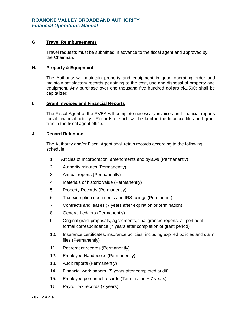#### **G. Travel Reimbursements**

Travel requests must be submitted in advance to the fiscal agent and approved by the Chairman.

**\_\_\_\_\_\_\_\_\_\_\_\_\_\_\_\_\_\_\_\_\_\_\_\_\_\_\_\_\_\_\_\_\_\_\_\_\_\_\_\_\_\_\_\_\_\_\_\_\_\_\_\_\_\_\_\_\_\_\_**

#### **H. Property & Equipment**

The Authority will maintain property and equipment in good operating order and maintain satisfactory records pertaining to the cost, use and disposal of property and equipment. Any purchase over one thousand five hundred dollars (\$1,500) shall be capitalized.

#### **I. Grant Invoices and Financial Reports**

The Fiscal Agent of the RVBA will complete necessary invoices and financial reports for all financial activity. Records of such will be kept in the financial files and grant files in the fiscal agent office.

#### **J. Record Retention**

The Authority and/or Fiscal Agent shall retain records according to the following schedule:

- 1. Articles of Incorporation, amendments and bylaws (Permanently)
- 2. Authority minutes (Permanently)
- 3. Annual reports (Permanently)
- 4. Materials of historic value (Permanently)
- 5. Property Records (Permanently)
- 6. Tax exemption documents and IRS rulings (Permanent)
- 7. Contracts and leases (7 years after expiration or termination)
- 8. General Ledgers (Permanently)
- 9. Original grant proposals, agreements, final grantee reports, all pertinent formal correspondence (7 years after completion of grant period)
- 10. Insurance certificates, insurance policies, including expired policies and claim files (Permanently)
- 11. Retirement records (Permanently)
- 12. Employee Handbooks (Permanently)
- 13. Audit reports (Permanently)
- 14. Financial work papers (5 years after completed audit)
- 15. Employee personnel records (Termination + 7 years)
- 16. Payroll tax records (7 years)